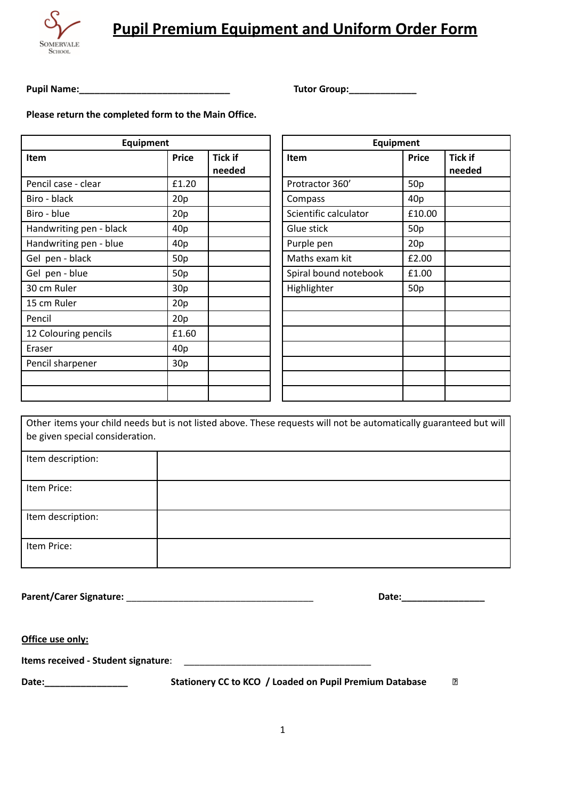

## **Pupil Premium Equipment and Uniform Order Form**

**Pupil Name:\_\_\_\_\_\_\_\_\_\_\_\_\_\_\_\_\_\_\_\_\_\_\_\_\_\_\_\_\_ Tutor Group:\_\_\_\_\_\_\_\_\_\_\_\_\_**

**Please return the completed form to the Main Office.**

| Equipment               |                 |                          |                       | Equipment    |
|-------------------------|-----------------|--------------------------|-----------------------|--------------|
| <b>Item</b>             | <b>Price</b>    | <b>Tick if</b><br>needed | Item                  | <b>Price</b> |
| Pencil case - clear     | £1.20           |                          | Protractor 360'       | 50p          |
| Biro - black            | 20p             |                          | Compass               | 40p          |
| Biro - blue             | 20p             |                          | Scientific calculator | £10.00       |
| Handwriting pen - black | 40 <sub>p</sub> |                          | Glue stick            | 50p          |
| Handwriting pen - blue  | 40 <sub>p</sub> |                          | Purple pen            | 20p          |
| Gel pen - black         | 50p             |                          | Maths exam kit        | £2.00        |
| Gel pen - blue          | 50p             |                          | Spiral bound notebook | £1.00        |
| 30 cm Ruler             | 30p             |                          | Highlighter           | 50p          |
| 15 cm Ruler             | 20p             |                          |                       |              |
| Pencil                  | 20p             |                          |                       |              |
| 12 Colouring pencils    | £1.60           |                          |                       |              |
| Eraser                  | 40 <sub>p</sub> |                          |                       |              |
| Pencil sharpener        | 30p             |                          |                       |              |
|                         |                 |                          |                       |              |
|                         |                 |                          |                       |              |

| Equipment             |                 |                |  |  |
|-----------------------|-----------------|----------------|--|--|
| Item                  | <b>Price</b>    | <b>Tick if</b> |  |  |
|                       |                 | needed         |  |  |
| Protractor 360'       | 50 <sub>p</sub> |                |  |  |
| Compass               | 40p             |                |  |  |
| Scientific calculator | £10.00          |                |  |  |
| Glue stick            | 50 <sub>p</sub> |                |  |  |
| Purple pen            | 20p             |                |  |  |
| Maths exam kit        | £2.00           |                |  |  |
| Spiral bound notebook | £1.00           |                |  |  |
| Highlighter           | 50p             |                |  |  |
|                       |                 |                |  |  |
|                       |                 |                |  |  |
|                       |                 |                |  |  |
|                       |                 |                |  |  |
|                       |                 |                |  |  |
|                       |                 |                |  |  |
|                       |                 |                |  |  |

Other items your child needs but is not listed above. These requests will not be automatically guaranteed but will be given special consideration.

| Item description: |  |
|-------------------|--|
|                   |  |
|                   |  |
|                   |  |
|                   |  |
| Item Price:       |  |
|                   |  |
|                   |  |
|                   |  |
| Item description: |  |
|                   |  |
|                   |  |
|                   |  |
|                   |  |
| Item Price:       |  |
|                   |  |
|                   |  |
|                   |  |

**Parent/Carer Signature:** \_\_\_\_\_\_\_\_\_\_\_\_\_\_\_\_\_\_\_\_\_\_\_\_\_\_\_\_\_\_\_\_\_\_\_\_ **Date:\_\_\_\_\_\_\_\_\_\_\_\_\_\_\_\_**

 $\overline{R}$ 

**Office use only:**

**Items** received - Student signature:

**Date:\_\_\_\_\_\_\_\_\_\_\_\_\_\_\_\_ Stationery CC to KCO / Loaded on Pupil Premium Database**